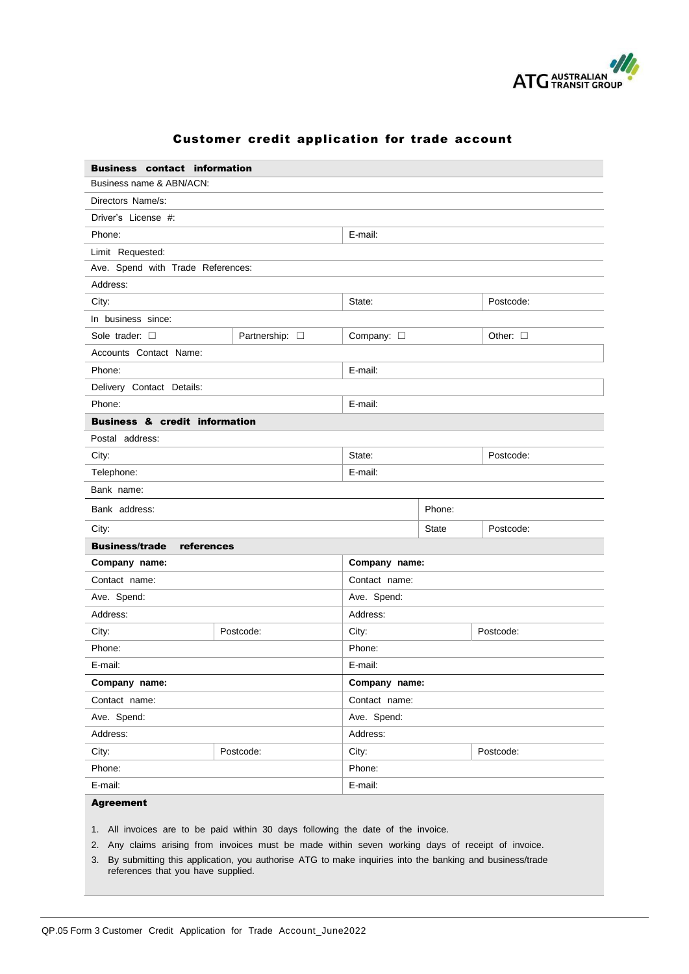

| <b>Business contact information</b>      |                        |                    |                           |                  |  |
|------------------------------------------|------------------------|--------------------|---------------------------|------------------|--|
| Business name & ABN/ACN:                 |                        |                    |                           |                  |  |
| Directors Name/s:                        |                        |                    |                           |                  |  |
| Driver's License #:                      |                        |                    |                           |                  |  |
| Phone:                                   |                        | E-mail:            |                           |                  |  |
| Limit Requested:                         |                        |                    |                           |                  |  |
| Ave. Spend with Trade References:        |                        |                    |                           |                  |  |
| Address:                                 |                        |                    |                           |                  |  |
| City:                                    |                        | State:             |                           | Postcode:        |  |
| In business since:                       |                        |                    |                           |                  |  |
| Sole trader: $\square$                   | Partnership: $\square$ | Company: $\square$ |                           | Other: $\square$ |  |
| Accounts Contact Name:                   |                        |                    |                           |                  |  |
| Phone:                                   |                        | E-mail:            |                           |                  |  |
| Delivery Contact Details:                |                        |                    |                           |                  |  |
| Phone:                                   |                        | E-mail:            |                           |                  |  |
| <b>Business &amp; credit information</b> |                        |                    |                           |                  |  |
| Postal address:                          |                        |                    |                           |                  |  |
| City:                                    |                        | State:             |                           | Postcode:        |  |
| Telephone:                               | E-mail:                |                    |                           |                  |  |
| Bank name:                               |                        |                    |                           |                  |  |
| Bank address:                            |                        |                    | Phone:                    |                  |  |
| City:                                    |                        |                    | <b>State</b><br>Postcode: |                  |  |
| <b>Business/trade</b><br>references      |                        |                    |                           |                  |  |
| Company name:                            |                        | Company name:      |                           |                  |  |
| Contact name:                            |                        | Contact name:      |                           |                  |  |
| Ave. Spend:                              |                        | Ave. Spend:        |                           |                  |  |
| Address:                                 |                        | Address:           |                           |                  |  |
| City:                                    | Postcode:              | City:              |                           | Postcode:        |  |
| Phone:                                   |                        | Phone:             |                           |                  |  |
| E-mail:                                  |                        | E-mail:            |                           |                  |  |
| Company name:                            |                        |                    | Company name:             |                  |  |
| Contact name:                            |                        | Contact name:      |                           |                  |  |
| Ave. Spend:                              |                        | Ave. Spend:        |                           |                  |  |
| Address:                                 |                        | Address:           |                           |                  |  |
| City.                                    | Postcode:              | City:              |                           | Postcode:        |  |
| Phone:                                   |                        | Phone:             |                           |                  |  |
| E-mail:                                  |                        | E-mail:            |                           |                  |  |
| <b>Agreement</b>                         |                        |                    |                           |                  |  |

## Customer credit application for trade account

1. All invoices are to be paid within 30 days following the date of the invoice.

2. Any claims arising from invoices must be made within seven working days of receipt of invoice.

3. By submitting this application, you authorise ATG to make inquiries into the banking and business/trade references that you have supplied.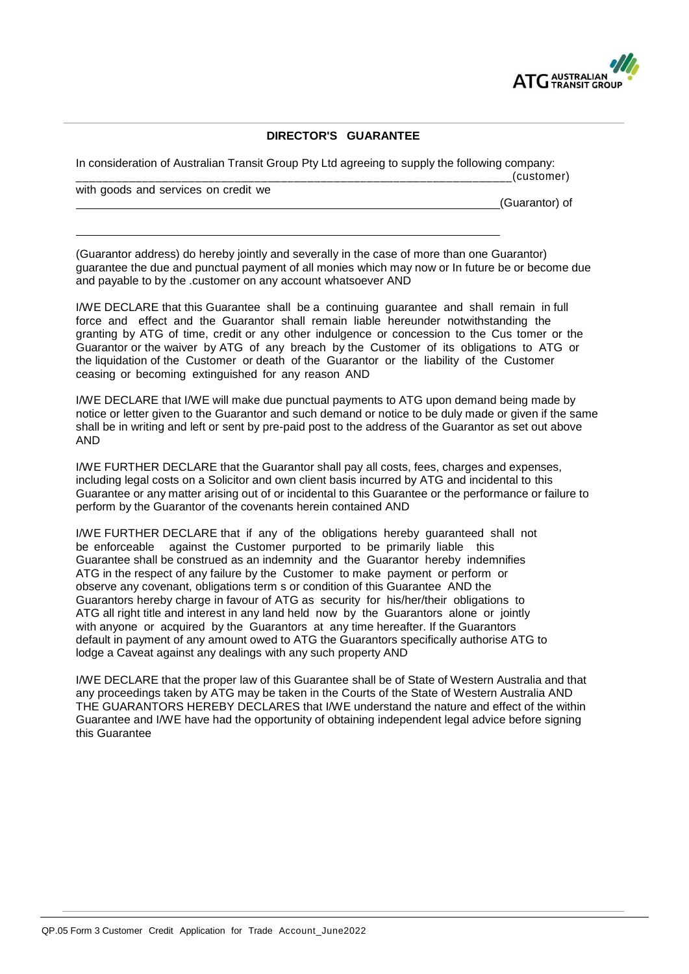

## **DIRECTOR'S GUARANTEE**

In consideration of Australian Transit Group Pty Ltd agreeing to supply the following company: \_\_\_\_\_\_\_\_\_\_\_\_\_\_\_\_\_\_\_\_\_\_\_\_\_\_\_\_\_\_\_\_\_\_\_\_\_\_\_\_\_\_\_\_\_\_\_\_\_\_\_\_\_\_\_\_\_\_\_\_\_\_\_\_\_\_(customer)

with goods and services on credit we

(Guarantor) of

(Guarantor address) do hereby jointly and severally in the case of more than one Guarantor) guarantee the due and punctual payment of all monies which may now or In future be or become due and payable to by the .customer on any account whatsoever AND

I/WE DECLARE that this Guarantee shall be a continuing guarantee and shall remain in full force and effect and the Guarantor shall remain liable hereunder notwithstanding the granting by ATG of time, credit or any other indulgence or concession to the Cus tomer or the Guarantor or the waiver by ATG of any breach by the Customer of its obligations to ATG or the liquidation of the Customer or death of the Guarantor or the liability of the Customer ceasing or becoming extinguished for any reason AND

I/WE DECLARE that I/WE will make due punctual payments to ATG upon demand being made by notice or letter given to the Guarantor and such demand or notice to be duly made or given if the same shall be in writing and left or sent by pre-paid post to the address of the Guarantor as set out above AND

I/WE FURTHER DECLARE that the Guarantor shall pay all costs, fees, charges and expenses, including legal costs on a Solicitor and own client basis incurred by ATG and incidental to this Guarantee or any matter arising out of or incidental to this Guarantee or the performance or failure to perform by the Guarantor of the covenants herein contained AND

I/WE FURTHER DECLARE that if any of the obligations hereby guaranteed shall not be enforceable against the Customer purported to be primarily liable this Guarantee shall be construed as an indemnity and the Guarantor hereby indemnifies ATG in the respect of any failure by the Customer to make payment or perform or observe any covenant, obligations term s or condition of this Guarantee AND the Guarantors hereby charge in favour of ATG as security for his/her/their obligations to ATG all right title and interest in any land held now by the Guarantors alone or jointly with anyone or acquired by the Guarantors at any time hereafter. If the Guarantors default in payment of any amount owed to ATG the Guarantors specifically authorise ATG to lodge a Caveat against any dealings with any such property AND

I/WE DECLARE that the proper law of this Guarantee shall be of State of Western Australia and that any proceedings taken by ATG may be taken in the Courts of the State of Western Australia AND THE GUARANTORS HEREBY DECLARES that I/WE understand the nature and effect of the within Guarantee and I/WE have had the opportunity of obtaining independent legal advice before signing this Guarantee